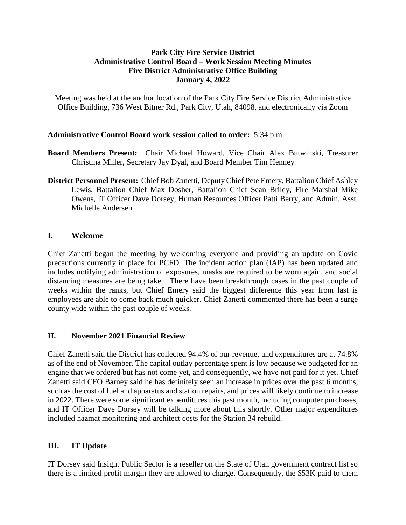### **Park City Fire Service District Administrative Control Board – Work Session Meeting Minutes Fire District Administrative Office Building January 4, 2022**

Meeting was held at the anchor location of the Park City Fire Service District Administrative Office Building, 736 West Bitner Rd., Park City, Utah, 84098, and electronically via Zoom

### **Administrative Control Board work session called to order:** 5:34 p.m.

- **Board Members Present:** Chair Michael Howard, Vice Chair Alex Butwinski, Treasurer Christina Miller, Secretary Jay Dyal, and Board Member Tim Henney
- **District Personnel Present:** Chief Bob Zanetti, Deputy Chief Pete Emery, Battalion Chief Ashley Lewis, Battalion Chief Max Dosher, Battalion Chief Sean Briley, Fire Marshal Mike Owens, IT Officer Dave Dorsey, Human Resources Officer Patti Berry, and Admin. Asst. Michelle Andersen

### **I. Welcome**

Chief Zanetti began the meeting by welcoming everyone and providing an update on Covid precautions currently in place for PCFD. The incident action plan (IAP) has been updated and includes notifying administration of exposures, masks are required to be worn again, and social distancing measures are being taken. There have been breakthrough cases in the past couple of weeks within the ranks, but Chief Emery said the biggest difference this year from last is employees are able to come back much quicker. Chief Zanetti commented there has been a surge county wide within the past couple of weeks.

## **II. November 2021 Financial Review**

Chief Zanetti said the District has collected 94.4% of our revenue, and expenditures are at 74.8% as of the end of November. The capital outlay percentage spent is low because we budgeted for an engine that we ordered but has not come yet, and consequently, we have not paid for it yet. Chief Zanetti said CFO Barney said he has definitely seen an increase in prices over the past 6 months, such as the cost of fuel and apparatus and station repairs, and prices will likely continue to increase in 2022. There were some significant expenditures this past month, including computer purchases, and IT Officer Dave Dorsey will be talking more about this shortly. Other major expenditures included hazmat monitoring and architect costs for the Station 34 rebuild.

### **III. IT Update**

IT Dorsey said Insight Public Sector is a reseller on the State of Utah government contract list so there is a limited profit margin they are allowed to charge. Consequently, the \$53K paid to them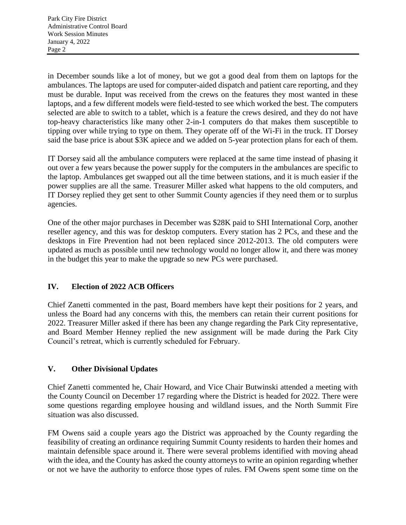in December sounds like a lot of money, but we got a good deal from them on laptops for the ambulances. The laptops are used for computer-aided dispatch and patient care reporting, and they must be durable. Input was received from the crews on the features they most wanted in these laptops, and a few different models were field-tested to see which worked the best. The computers selected are able to switch to a tablet, which is a feature the crews desired, and they do not have top-heavy characteristics like many other 2-in-1 computers do that makes them susceptible to tipping over while trying to type on them. They operate off of the Wi-Fi in the truck. IT Dorsey said the base price is about \$3K apiece and we added on 5-year protection plans for each of them.

IT Dorsey said all the ambulance computers were replaced at the same time instead of phasing it out over a few years because the power supply for the computers in the ambulances are specific to the laptop. Ambulances get swapped out all the time between stations, and it is much easier if the power supplies are all the same. Treasurer Miller asked what happens to the old computers, and IT Dorsey replied they get sent to other Summit County agencies if they need them or to surplus agencies.

One of the other major purchases in December was \$28K paid to SHI International Corp, another reseller agency, and this was for desktop computers. Every station has 2 PCs, and these and the desktops in Fire Prevention had not been replaced since 2012-2013. The old computers were updated as much as possible until new technology would no longer allow it, and there was money in the budget this year to make the upgrade so new PCs were purchased.

# **IV. Election of 2022 ACB Officers**

Chief Zanetti commented in the past, Board members have kept their positions for 2 years, and unless the Board had any concerns with this, the members can retain their current positions for 2022. Treasurer Miller asked if there has been any change regarding the Park City representative, and Board Member Henney replied the new assignment will be made during the Park City Council's retreat, which is currently scheduled for February.

## **V. Other Divisional Updates**

Chief Zanetti commented he, Chair Howard, and Vice Chair Butwinski attended a meeting with the County Council on December 17 regarding where the District is headed for 2022. There were some questions regarding employee housing and wildland issues, and the North Summit Fire situation was also discussed.

FM Owens said a couple years ago the District was approached by the County regarding the feasibility of creating an ordinance requiring Summit County residents to harden their homes and maintain defensible space around it. There were several problems identified with moving ahead with the idea, and the County has asked the county attorneys to write an opinion regarding whether or not we have the authority to enforce those types of rules. FM Owens spent some time on the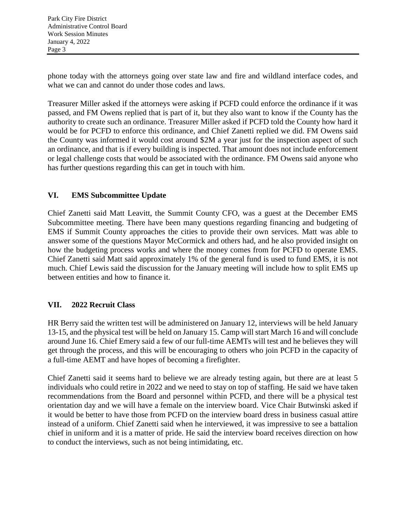phone today with the attorneys going over state law and fire and wildland interface codes, and what we can and cannot do under those codes and laws.

Treasurer Miller asked if the attorneys were asking if PCFD could enforce the ordinance if it was passed, and FM Owens replied that is part of it, but they also want to know if the County has the authority to create such an ordinance. Treasurer Miller asked if PCFD told the County how hard it would be for PCFD to enforce this ordinance, and Chief Zanetti replied we did. FM Owens said the County was informed it would cost around \$2M a year just for the inspection aspect of such an ordinance, and that is if every building is inspected. That amount does not include enforcement or legal challenge costs that would be associated with the ordinance. FM Owens said anyone who has further questions regarding this can get in touch with him.

# **VI. EMS Subcommittee Update**

Chief Zanetti said Matt Leavitt, the Summit County CFO, was a guest at the December EMS Subcommittee meeting. There have been many questions regarding financing and budgeting of EMS if Summit County approaches the cities to provide their own services. Matt was able to answer some of the questions Mayor McCormick and others had, and he also provided insight on how the budgeting process works and where the money comes from for PCFD to operate EMS. Chief Zanetti said Matt said approximately 1% of the general fund is used to fund EMS, it is not much. Chief Lewis said the discussion for the January meeting will include how to split EMS up between entities and how to finance it.

## **VII. 2022 Recruit Class**

HR Berry said the written test will be administered on January 12, interviews will be held January 13-15, and the physical test will be held on January 15. Camp will start March 16 and will conclude around June 16. Chief Emery said a few of our full-time AEMTs will test and he believes they will get through the process, and this will be encouraging to others who join PCFD in the capacity of a full-time AEMT and have hopes of becoming a firefighter.

Chief Zanetti said it seems hard to believe we are already testing again, but there are at least 5 individuals who could retire in 2022 and we need to stay on top of staffing. He said we have taken recommendations from the Board and personnel within PCFD, and there will be a physical test orientation day and we will have a female on the interview board. Vice Chair Butwinski asked if it would be better to have those from PCFD on the interview board dress in business casual attire instead of a uniform. Chief Zanetti said when he interviewed, it was impressive to see a battalion chief in uniform and it is a matter of pride. He said the interview board receives direction on how to conduct the interviews, such as not being intimidating, etc.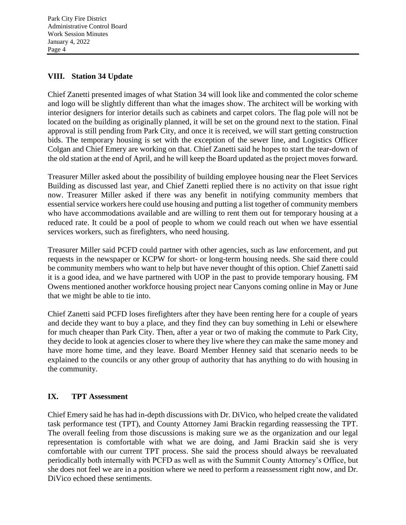# **VIII. Station 34 Update**

Chief Zanetti presented images of what Station 34 will look like and commented the color scheme and logo will be slightly different than what the images show. The architect will be working with interior designers for interior details such as cabinets and carpet colors. The flag pole will not be located on the building as originally planned, it will be set on the ground next to the station. Final approval is still pending from Park City, and once it is received, we will start getting construction bids. The temporary housing is set with the exception of the sewer line, and Logistics Officer Colgan and Chief Emery are working on that. Chief Zanetti said he hopes to start the tear-down of the old station at the end of April, and he will keep the Board updated as the project moves forward.

Treasurer Miller asked about the possibility of building employee housing near the Fleet Services Building as discussed last year, and Chief Zanetti replied there is no activity on that issue right now. Treasurer Miller asked if there was any benefit in notifying community members that essential service workers here could use housing and putting a list together of community members who have accommodations available and are willing to rent them out for temporary housing at a reduced rate. It could be a pool of people to whom we could reach out when we have essential services workers, such as firefighters, who need housing.

Treasurer Miller said PCFD could partner with other agencies, such as law enforcement, and put requests in the newspaper or KCPW for short- or long-term housing needs. She said there could be community members who want to help but have never thought of this option. Chief Zanetti said it is a good idea, and we have partnered with UOP in the past to provide temporary housing. FM Owens mentioned another workforce housing project near Canyons coming online in May or June that we might be able to tie into.

Chief Zanetti said PCFD loses firefighters after they have been renting here for a couple of years and decide they want to buy a place, and they find they can buy something in Lehi or elsewhere for much cheaper than Park City. Then, after a year or two of making the commute to Park City, they decide to look at agencies closer to where they live where they can make the same money and have more home time, and they leave. Board Member Henney said that scenario needs to be explained to the councils or any other group of authority that has anything to do with housing in the community.

## **IX. TPT Assessment**

Chief Emery said he has had in-depth discussions with Dr. DiVico, who helped create the validated task performance test (TPT), and County Attorney Jami Brackin regarding reassessing the TPT. The overall feeling from those discussions is making sure we as the organization and our legal representation is comfortable with what we are doing, and Jami Brackin said she is very comfortable with our current TPT process. She said the process should always be reevaluated periodically both internally with PCFD as well as with the Summit County Attorney's Office, but she does not feel we are in a position where we need to perform a reassessment right now, and Dr. DiVico echoed these sentiments.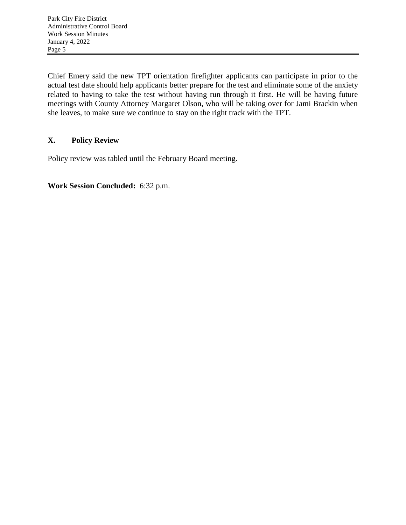Chief Emery said the new TPT orientation firefighter applicants can participate in prior to the actual test date should help applicants better prepare for the test and eliminate some of the anxiety related to having to take the test without having run through it first. He will be having future meetings with County Attorney Margaret Olson, who will be taking over for Jami Brackin when she leaves, to make sure we continue to stay on the right track with the TPT.

# **X. Policy Review**

Policy review was tabled until the February Board meeting.

**Work Session Concluded:** 6:32 p.m.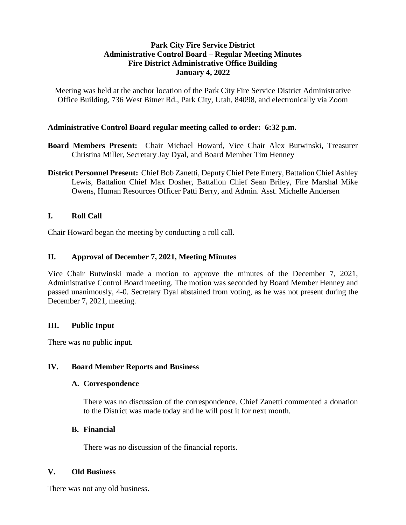### **Park City Fire Service District Administrative Control Board – Regular Meeting Minutes Fire District Administrative Office Building January 4, 2022**

Meeting was held at the anchor location of the Park City Fire Service District Administrative Office Building, 736 West Bitner Rd., Park City, Utah, 84098, and electronically via Zoom

### **Administrative Control Board regular meeting called to order: 6:32 p.m.**

- **Board Members Present:** Chair Michael Howard, Vice Chair Alex Butwinski, Treasurer Christina Miller, Secretary Jay Dyal, and Board Member Tim Henney
- **District Personnel Present:** Chief Bob Zanetti, Deputy Chief Pete Emery, Battalion Chief Ashley Lewis, Battalion Chief Max Dosher, Battalion Chief Sean Briley, Fire Marshal Mike Owens, Human Resources Officer Patti Berry, and Admin. Asst. Michelle Andersen

## **I. Roll Call**

Chair Howard began the meeting by conducting a roll call.

### **II. Approval of December 7, 2021, Meeting Minutes**

Vice Chair Butwinski made a motion to approve the minutes of the December 7, 2021, Administrative Control Board meeting. The motion was seconded by Board Member Henney and passed unanimously, 4-0. Secretary Dyal abstained from voting, as he was not present during the December 7, 2021, meeting.

### **III. Public Input**

There was no public input.

### **IV. Board Member Reports and Business**

### **A. Correspondence**

There was no discussion of the correspondence. Chief Zanetti commented a donation to the District was made today and he will post it for next month.

### **B. Financial**

There was no discussion of the financial reports.

### **V. Old Business**

There was not any old business.